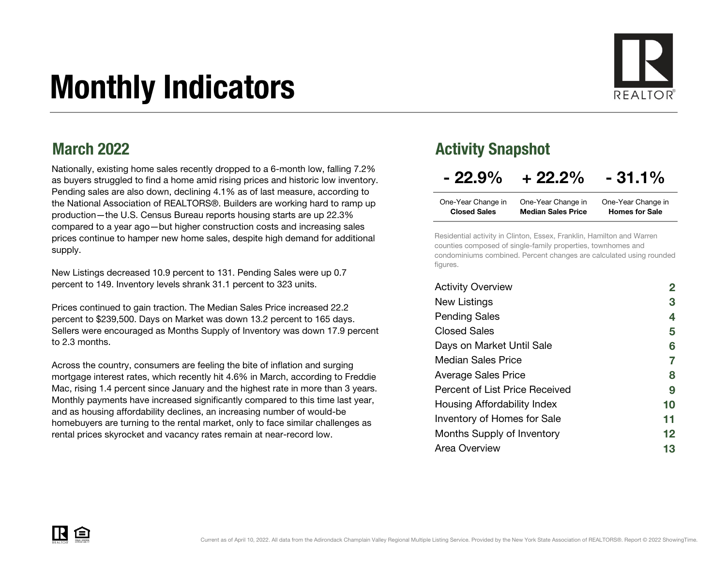# Monthly Indicators



#### March 2022

Nationally, existing home sales recently dropped to a 6-month low, falling 7.2% as buyers struggled to find a home amid rising prices and historic low inventory. Pending sales are also down, declining 4.1% as of last measure, according to the National Association of REALTORS®. Builders are working hard to ramp up production—the U.S. Census Bureau reports housing starts are up 22.3% compared to a year ago—but higher construction costs and increasing sales prices continue to hamper new home sales, despite high demand for additional supply.

New Listings decreased 10.9 percent to 131. Pending Sales were up 0.7 percent to 149. Inventory levels shrank 31.1 percent to 323 units.

Prices continued to gain traction. The Median Sales Price increased 22.2 percent to \$239,500. Days on Market was down 13.2 percent to 165 days. Sellers were encouraged as Months Supply of Inventory was down 17.9 percent to 2.3 months.

Across the country, consumers are feeling the bite of inflation and surging mortgage interest rates, which recently hit 4.6% in March, according to Freddie Mac, rising 1.4 percent since January and the highest rate in more than 3 years. Monthly payments have increased significantly compared to this time last year, and as housing affordability declines, an increasing number of would-be homebuyers are turning to the rental market, only to face similar challenges as rental prices skyrocket and vacancy rates remain at near-record low.

#### Activity Snapshot

#### $-22.9\% + 22.2\% - 31.1\%$

| One-Year Change in  | One-Year Change in        | One-Year Change in    |
|---------------------|---------------------------|-----------------------|
| <b>Closed Sales</b> | <b>Median Sales Price</b> | <b>Homes for Sale</b> |

Residential activity in Clinton, Essex, Franklin, Hamilton and Warren counties composed of single-family properties, townhomes and condominiums combined. Percent changes are calculated using rounded figures.

| <b>Activity Overview</b>       |    |
|--------------------------------|----|
| New Listings                   | 3  |
| <b>Pending Sales</b>           | 4  |
| <b>Closed Sales</b>            | 5  |
| Days on Market Until Sale      | 6  |
| <b>Median Sales Price</b>      | 7  |
| <b>Average Sales Price</b>     | 8  |
| Percent of List Price Received | 9  |
| Housing Affordability Index    | 10 |
| Inventory of Homes for Sale    | 11 |
| Months Supply of Inventory     | 12 |
| Area Overview                  | 13 |

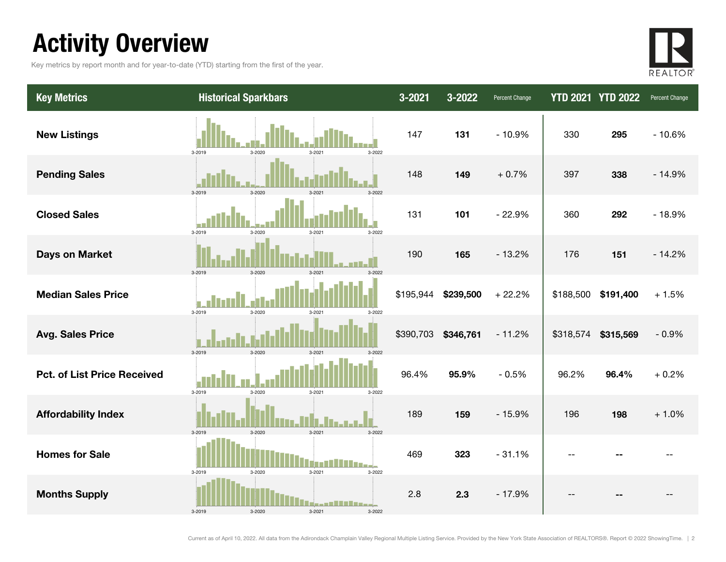# Activity Overview

Key metrics by report month and for year-to-date (YTD) starting from the first of the year.



| <b>Key Metrics</b>                 | <b>Historical Sparkbars</b>              | 3-2021    | 3-2022    | Percent Change |                | <b>YTD 2021 YTD 2022</b> | Percent Change |
|------------------------------------|------------------------------------------|-----------|-----------|----------------|----------------|--------------------------|----------------|
| <b>New Listings</b>                | 3-2019<br>3-2020<br>3-2022<br>3-2021     | 147       | 131       | $-10.9%$       | 330            | 295                      | $-10.6%$       |
| <b>Pending Sales</b>               | 3-2019<br>$3 - 2020$<br>$3 - 202$        | 148       | 149       | $+0.7%$        | 397            | 338                      | $-14.9%$       |
| <b>Closed Sales</b>                | 3-2019<br>$3 - 2020$<br>3-2021<br>3-2022 | 131       | 101       | $-22.9%$       | 360            | 292                      | $-18.9%$       |
| <b>Days on Market</b>              | 3-2019<br>3-2020<br>3-2021               | 190       | 165       | $-13.2%$       | 176            | 151                      | $-14.2%$       |
| <b>Median Sales Price</b>          | 3-2019<br>3-2020<br>3-2021<br>3-2022     | \$195,944 | \$239,500 | $+22.2%$       | \$188,500      | \$191,400                | $+1.5%$        |
| <b>Avg. Sales Price</b>            | 3-2019<br>3-2020<br>3-2021<br>3-2022     | \$390,703 | \$346,761 | $-11.2%$       | \$318,574      | \$315,569                | $-0.9%$        |
| <b>Pct. of List Price Received</b> | 3-2019<br>3-2020<br>3-2021<br>3-2022     | 96.4%     | 95.9%     | $-0.5%$        | 96.2%          | 96.4%                    | $+0.2%$        |
| <b>Affordability Index</b>         | $3 - 2020$<br>3-2019<br>3-2021<br>3-2022 | 189       | 159       | $-15.9%$       | 196            | 198                      | $+1.0%$        |
| <b>Homes for Sale</b>              | 3-2019<br>3-2020<br>3-2021<br>3-2022     | 469       | 323       | $-31.1%$       | $\overline{a}$ |                          |                |
| <b>Months Supply</b>               | 3-2019<br>3-2020<br>3-2021<br>3-2022     | 2.8       | 2.3       | $-17.9%$       |                |                          |                |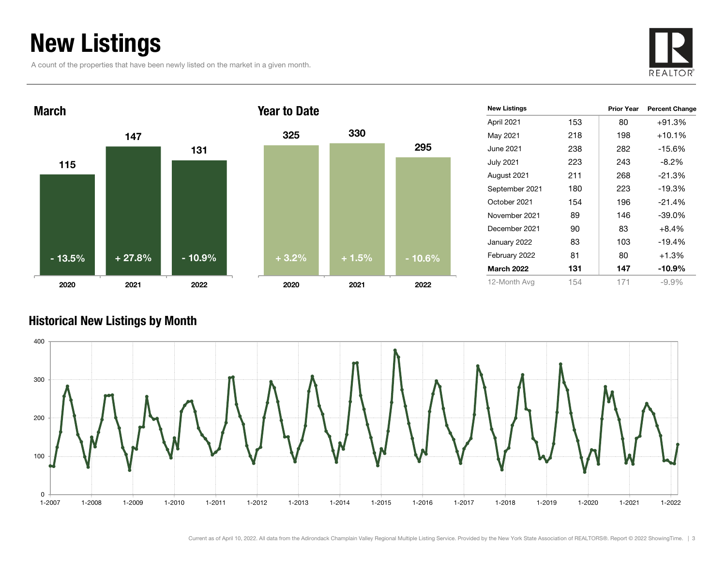# New Listings

A count of the properties that have been newly listed on the market in a given month.





| <b>New Listings</b> |     | <b>Prior Year</b> | <b>Percent Change</b> |
|---------------------|-----|-------------------|-----------------------|
| April 2021          | 153 | 80                | $+91.3%$              |
| May 2021            | 218 | 198               | $+10.1%$              |
| June 2021           | 238 | 282               | $-15.6%$              |
| <b>July 2021</b>    | 223 | 243               | $-8.2\%$              |
| August 2021         | 211 | 268               | $-21.3%$              |
| September 2021      | 180 | 223               | $-19.3%$              |
| October 2021        | 154 | 196               | $-21.4%$              |
| November 2021       | 89  | 146               | $-39.0\%$             |
| December 2021       | 90  | 83                | $+8.4%$               |
| January 2022        | 83  | 103               | $-19.4%$              |
| February 2022       | 81  | 80                | $+1.3%$               |
| <b>March 2022</b>   | 131 | 147               | $-10.9\%$             |
| 12-Month Avg        | 154 | 171               | $-9.9%$               |

#### Historical New Listings by Month

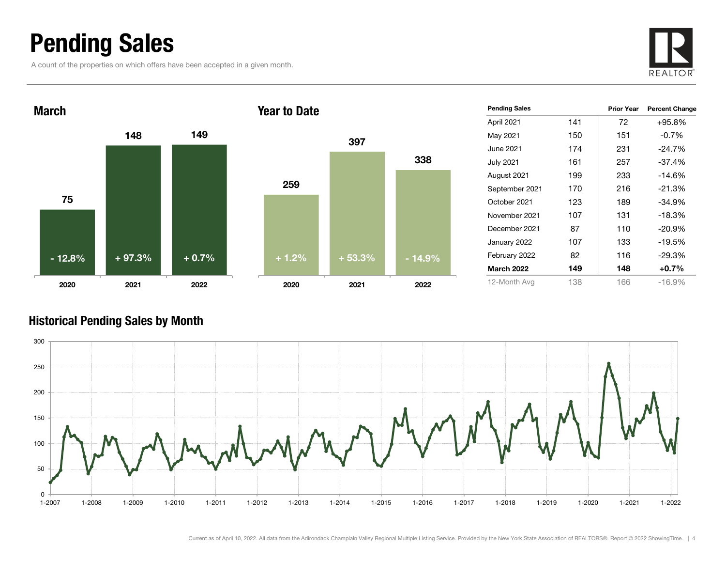### Pending Sales

A count of the properties on which offers have been accepted in a given month.







| <b>Pending Sales</b> |     | <b>Prior Year</b> | <b>Percent Change</b> |
|----------------------|-----|-------------------|-----------------------|
| April 2021           | 141 | 72                | $+95.8%$              |
| May 2021             | 150 | 151               | $-0.7%$               |
| June 2021            | 174 | 231               | $-24.7%$              |
| July 2021            | 161 | 257               | $-37.4%$              |
| August 2021          | 199 | 233               | $-14.6\%$             |
| September 2021       | 170 | 216               | $-21.3%$              |
| October 2021         | 123 | 189               | $-34.9%$              |
| November 2021        | 107 | 131               | $-18.3%$              |
| December 2021        | 87  | 110               | $-20.9%$              |
| January 2022         | 107 | 133               | $-19.5%$              |
| February 2022        | 82  | 116               | $-29.3%$              |
| <b>March 2022</b>    | 149 | 148               | $+0.7%$               |
| 12-Month Avg         | 138 | 166               | $-16.9%$              |

#### Historical Pending Sales by Month

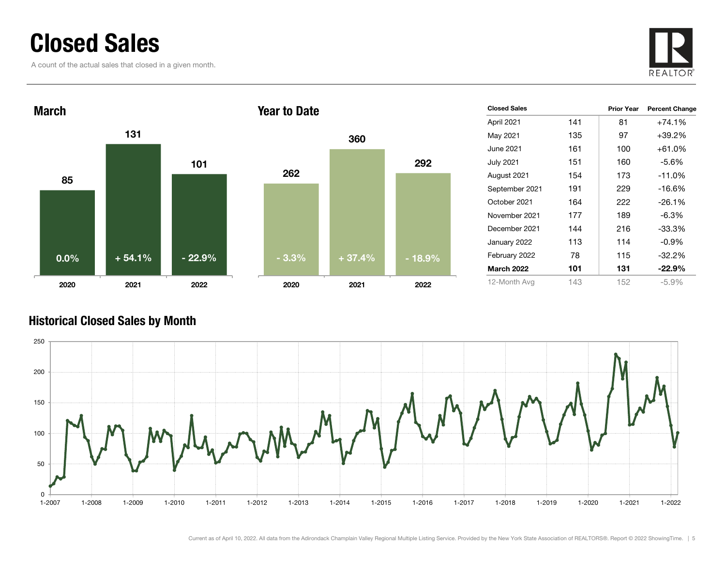### Closed Sales

A count of the actual sales that closed in a given month.





| <b>Closed Sales</b> |     | Prior Year | <b>Percent Change</b> |
|---------------------|-----|------------|-----------------------|
| April 2021          | 141 | 81         | $+74.1%$              |
| May 2021            | 135 | 97         | $+39.2\%$             |
| June 2021           | 161 | 100        | $+61.0%$              |
| <b>July 2021</b>    | 151 | 160        | $-5.6\%$              |
| August 2021         | 154 | 173        | $-11.0%$              |
| September 2021      | 191 | 229        | $-16.6%$              |
| October 2021        | 164 | 222        | $-26.1%$              |
| November 2021       | 177 | 189        | -6.3%                 |
| December 2021       | 144 | 216        | $-33.3%$              |
| January 2022        | 113 | 114        | $-0.9\%$              |
| February 2022       | 78  | 115        | $-32.2%$              |
| <b>March 2022</b>   | 101 | 131        | $-22.9%$              |
| 12-Month Avg        | 143 | 152        | $-5.9\%$              |

#### Historical Closed Sales by Month

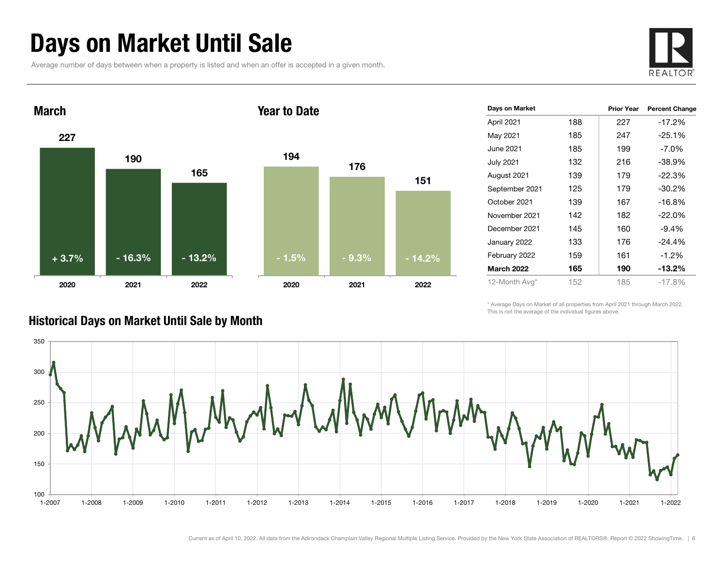# Days on Market Until Sale

Average number of days between when a property is listed and when an offer is accepted in a given month.





| Days on Market    |     | <b>Prior Year</b> | <b>Percent Change</b> |
|-------------------|-----|-------------------|-----------------------|
| April 2021        | 188 | 227               | $-17.2%$              |
| May 2021          | 185 | 247               | $-25.1%$              |
| June 2021         | 185 | 199               | $-7.0\%$              |
| <b>July 2021</b>  | 132 | 216               | $-38.9%$              |
| August 2021       | 139 | 179               | $-22.3%$              |
| September 2021    | 125 | 179               | $-30.2%$              |
| October 2021      | 139 | 167               | $-16.8%$              |
| November 2021     | 142 | 182               | $-22.0%$              |
| December 2021     | 145 | 160               | $-9.4%$               |
| January 2022      | 133 | 176               | $-24.4%$              |
| February 2022     | 159 | 161               | $-1.2%$               |
| <b>March 2022</b> | 165 | 190               | $-13.2%$              |
| 12-Month Avg*     | 152 | 185               | $-17.8%$              |

\* Average Days on Market of all properties from April 2021 through March 2022. This is not the average of the individual figures above.



#### Historical Days on Market Until Sale by Month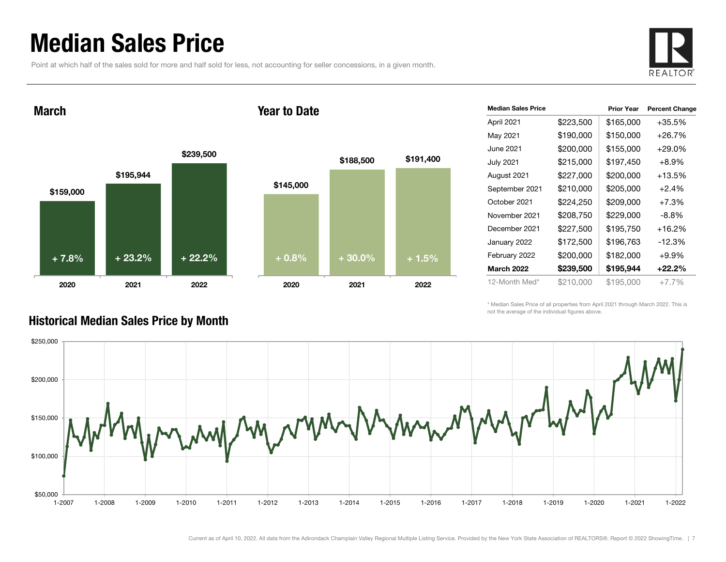### Median Sales Price

Point at which half of the sales sold for more and half sold for less, not accounting for seller concessions, in a given month.



March

#### Year to Date



| <b>Median Sales Price</b> |           | <b>Prior Year</b> | <b>Percent Change</b> |
|---------------------------|-----------|-------------------|-----------------------|
| April 2021                | \$223,500 | \$165,000         | +35.5%                |
| May 2021                  | \$190,000 | \$150,000         | $+26.7%$              |
| June 2021                 | \$200,000 | \$155,000         | $+29.0\%$             |
| <b>July 2021</b>          | \$215,000 | \$197,450         | $+8.9\%$              |
| August 2021               | \$227,000 | \$200,000         | $+13.5%$              |
| September 2021            | \$210,000 | \$205,000         | $+2.4%$               |
| October 2021              | \$224,250 | \$209,000         | $+7.3%$               |
| November 2021             | \$208,750 | \$229,000         | $-8.8\%$              |
| December 2021             | \$227,500 | \$195,750         | +16.2%                |
| January 2022              | \$172,500 | \$196,763         | $-12.3%$              |
| February 2022             | \$200,000 | \$182,000         | $+9.9%$               |
| <b>March 2022</b>         | \$239,500 | \$195,944         | +22.2%                |
| 12-Month Med*             | \$210,000 | \$195,000         | $+7.7\%$              |

\* Median Sales Price of all properties from April 2021 through March 2022. This is not the average of the individual figures above.



#### Historical Median Sales Price by Month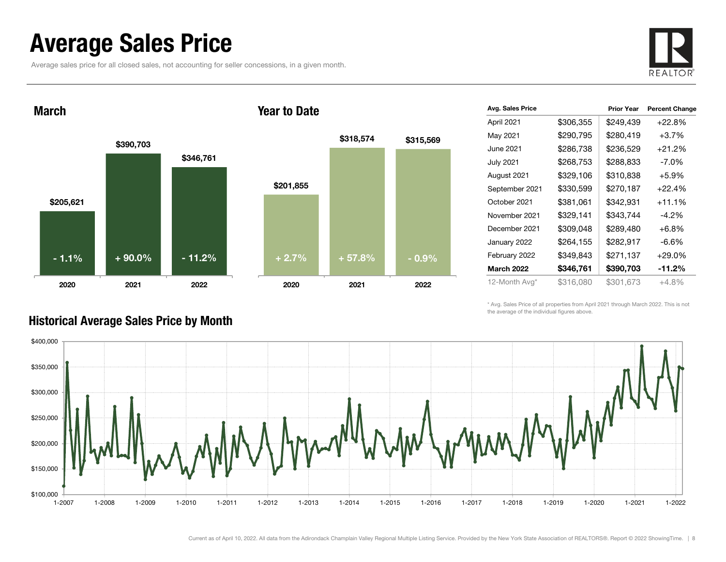### Average Sales Price

Average sales price for all closed sales, not accounting for seller concessions, in a given month.



March

#### Year to Date



| Avg. Sales Price  |           | <b>Prior Year</b> | <b>Percent Change</b> |
|-------------------|-----------|-------------------|-----------------------|
| April 2021        | \$306,355 | \$249,439         | $+22.8%$              |
| May 2021          | \$290,795 | \$280,419         | $+3.7%$               |
| June 2021         | \$286,738 | \$236,529         | $+21.2%$              |
| <b>July 2021</b>  | \$268,753 | \$288,833         | $-7.0\%$              |
| August 2021       | \$329,106 | \$310,838         | $+5.9%$               |
| September 2021    | \$330,599 | \$270,187         | $+22.4%$              |
| October 2021      | \$381,061 | \$342,931         | $+11.1%$              |
| November 2021     | \$329,141 | \$343,744         | $-4.2\%$              |
| December 2021     | \$309,048 | \$289,480         | $+6.8%$               |
| January 2022      | \$264,155 | \$282,917         | $-6.6%$               |
| February 2022     | \$349,843 | \$271,137         | $+29.0%$              |
| <b>March 2022</b> | \$346,761 | \$390,703         | -11.2%                |
| 12-Month Avg*     | \$316,080 | \$301,673         | $+4.8%$               |

\* Avg. Sales Price of all properties from April 2021 through March 2022. This is not the average of the individual figures above.



#### Historical Average Sales Price by Month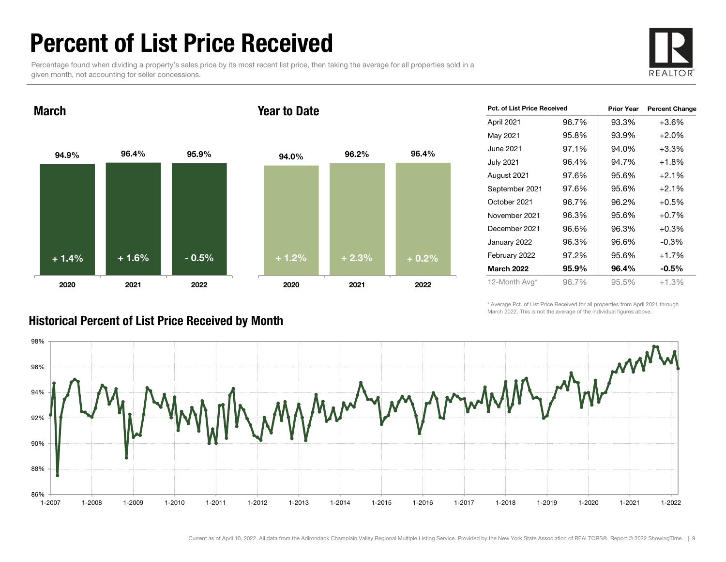### Percent of List Price Received

Percentage found when dividing a property's sales price by its most recent list price, then taking the average for all properties sold in a given month, not accounting for seller concessions.



94.9% 96.4% 95.9% 2020 2021 2022 March94.0% 96.2% 96.4% 2020 2021 2022 Year to Date+ 1.4% $\%$  + 1.6% - 0.5% + 1.2% + 2.3% + 0.2%

|       |                             | <b>Percent Change</b> |
|-------|-----------------------------|-----------------------|
| 96.7% | 93.3%                       | $+3.6%$               |
| 95.8% | 93.9%                       | $+2.0%$               |
| 97.1% | 94.0%                       | $+3.3%$               |
| 96.4% | 94.7%                       | $+1.8%$               |
| 97.6% | 95.6%                       | $+2.1%$               |
| 97.6% | 95.6%                       | $+2.1%$               |
| 96.7% | 96.2%                       | $+0.5%$               |
| 96.3% | 95.6%                       | $+0.7%$               |
| 96.6% | 96.3%                       | $+0.3%$               |
| 96.3% | 96.6%                       | $-0.3\%$              |
| 97.2% | 95.6%                       | $+1.7%$               |
| 95.9% | 96.4%                       | $-0.5\%$              |
| 96.7% | 95.5%                       | $+1.3%$               |
|       | Pct. of List Price Received | <b>Prior Year</b>     |

\* Average Pct. of List Price Received for all properties from April 2021 through March 2022. This is not the average of the individual figures above.



#### Historical Percent of List Price Received by Month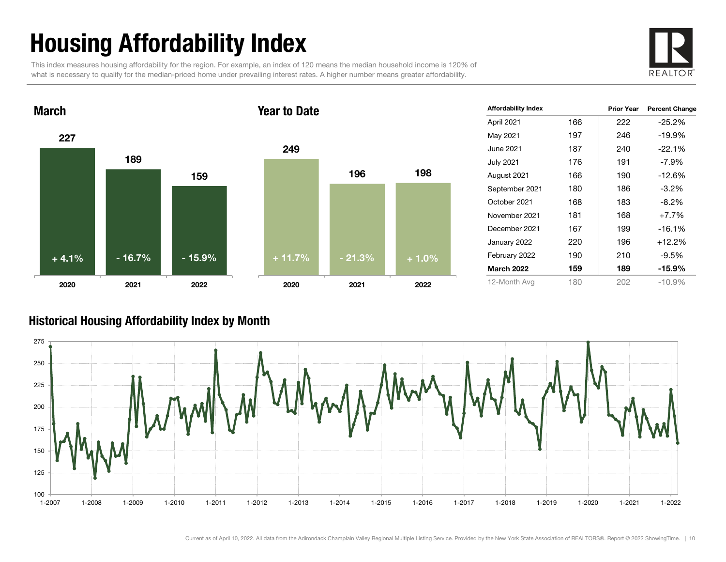# Housing Affordability Index

This index measures housing affordability for the region. For example, an index of 120 means the median household income is 120% of what is necessary to qualify for the median-priced home under prevailing interest rates. A higher number means greater affordability.





| <b>Affordability Index</b> |     | <b>Prior Year</b> | <b>Percent Change</b> |
|----------------------------|-----|-------------------|-----------------------|
| April 2021                 | 166 | 222               | $-25.2\%$             |
| May 2021                   | 197 | 246               | $-19.9%$              |
| June 2021                  | 187 | 240               | $-22.1%$              |
| <b>July 2021</b>           | 176 | 191               | $-7.9\%$              |
| August 2021                | 166 | 190               | $-12.6%$              |
| September 2021             | 180 | 186               | $-3.2%$               |
| October 2021               | 168 | 183               | $-8.2\%$              |
| November 2021              | 181 | 168               | $+7.7%$               |
| December 2021              | 167 | 199               | $-16.1%$              |
| January 2022               | 220 | 196               | $+12.2%$              |
| February 2022              | 190 | 210               | -9.5%                 |
| <b>March 2022</b>          | 159 | 189               | $-15.9\%$             |
| 12-Month Avg               | 180 | 202               | $-10.9%$              |

#### Historical Housing Affordability Index by Mont h

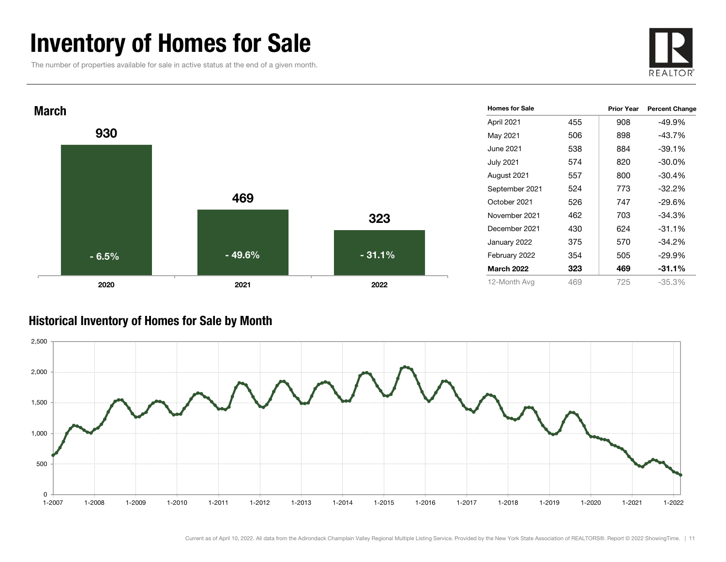### Inventory of Homes for Sale

The number of properties available for sale in active status at the end of a given month.





#### Historical Inventory of Homes for Sale by Month

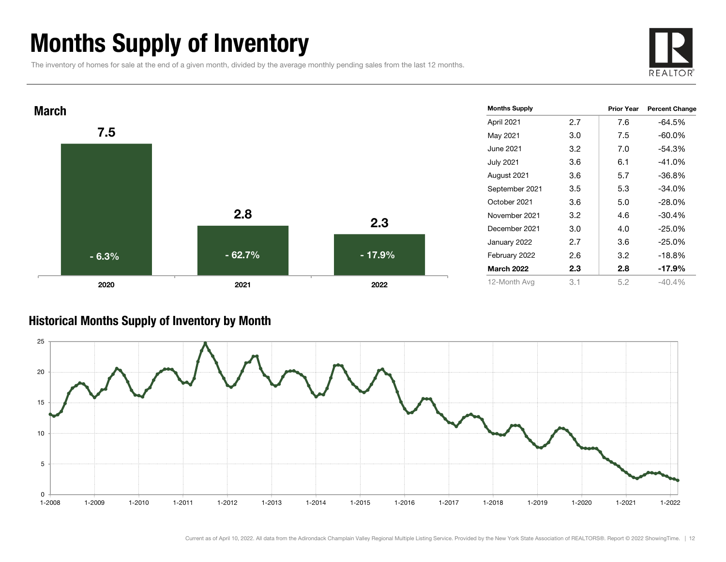# Months Supply of Inventory

The inventory of homes for sale at the end of a given month, divided by the average monthly pending sales from the last 12 months.





#### Historical Months Supply of Inventory by Month